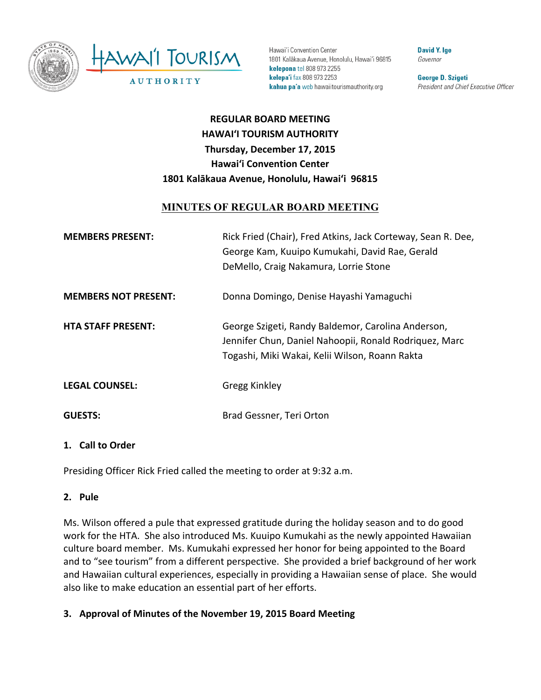

Hawai'i Convention Center 1801 Kalākaua Avenue, Honolulu, Hawai'i 96815 kelepona tel 808 973 2255 kelepa'i fax 808 973 2253 kahua pa'a web hawaiitourismauthority.org

**David Y. Ige** Governor

George D. Szigeti President and Chief Executive Officer

# **REGULAR BOARD MEETING HAWAI'I TOURISM AUTHORITY Thursday, December 17, 2015 Hawai'i Convention Center** 1801 Kalākaua Avenue, Honolulu, Hawai'i 96815

# **MINUTES OF REGULAR BOARD MEETING**

| <b>MEMBERS PRESENT:</b>     | Rick Fried (Chair), Fred Atkins, Jack Corteway, Sean R. Dee,<br>George Kam, Kuuipo Kumukahi, David Rae, Gerald<br>DeMello, Craig Nakamura, Lorrie Stone        |
|-----------------------------|----------------------------------------------------------------------------------------------------------------------------------------------------------------|
| <b>MEMBERS NOT PRESENT:</b> | Donna Domingo, Denise Hayashi Yamaguchi                                                                                                                        |
| <b>HTA STAFF PRESENT:</b>   | George Szigeti, Randy Baldemor, Carolina Anderson,<br>Jennifer Chun, Daniel Nahoopii, Ronald Rodriquez, Marc<br>Togashi, Miki Wakai, Kelii Wilson, Roann Rakta |
| <b>LEGAL COUNSEL:</b>       | Gregg Kinkley                                                                                                                                                  |
| <b>GUESTS:</b>              | Brad Gessner, Teri Orton                                                                                                                                       |

### 1. **Call to Order**

Presiding Officer Rick Fried called the meeting to order at 9:32 a.m.

### **2. Pule**

Ms. Wilson offered a pule that expressed gratitude during the holiday season and to do good work for the HTA. She also introduced Ms. Kuuipo Kumukahi as the newly appointed Hawaiian culture board member. Ms. Kumukahi expressed her honor for being appointed to the Board and to "see tourism" from a different perspective. She provided a brief background of her work and Hawaiian cultural experiences, especially in providing a Hawaiian sense of place. She would also like to make education an essential part of her efforts.

**3. Approval of Minutes of the November 19, 2015 Board Meeting**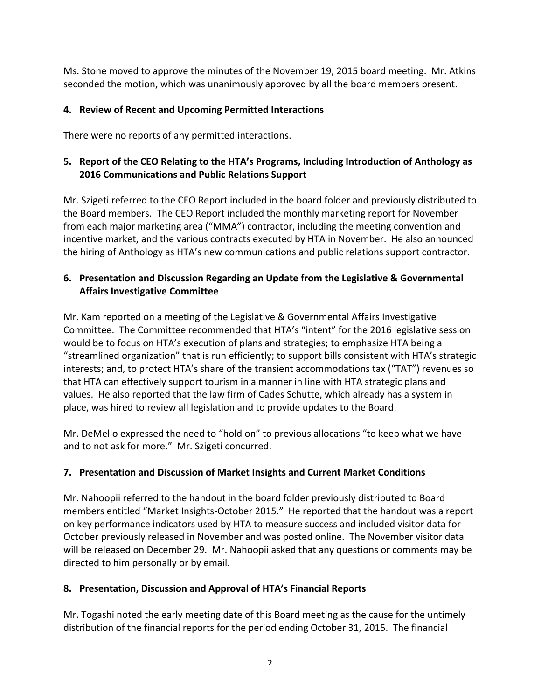Ms. Stone moved to approve the minutes of the November 19, 2015 board meeting. Mr. Atkins seconded the motion, which was unanimously approved by all the board members present.

# **4. Review of Recent and Upcoming Permitted Interactions**

There were no reports of any permitted interactions.

# **5.** Report of the CEO Relating to the HTA's Programs, Including Introduction of Anthology as **2016 Communications and Public Relations Support**

Mr. Szigeti referred to the CEO Report included in the board folder and previously distributed to the Board members. The CEO Report included the monthly marketing report for November from each major marketing area ("MMA") contractor, including the meeting convention and incentive market, and the various contracts executed by HTA in November. He also announced the hiring of Anthology as HTA's new communications and public relations support contractor.

### **6.** Presentation and Discussion Regarding an Update from the Legislative & Governmental **Affairs Investigative Committee**

Mr. Kam reported on a meeting of the Legislative & Governmental Affairs Investigative Committee. The Committee recommended that HTA's "intent" for the 2016 legislative session would be to focus on HTA's execution of plans and strategies; to emphasize HTA being a "streamlined organization" that is run efficiently; to support bills consistent with HTA's strategic interests; and, to protect HTA's share of the transient accommodations tax ("TAT") revenues so that HTA can effectively support tourism in a manner in line with HTA strategic plans and values. He also reported that the law firm of Cades Schutte, which already has a system in place, was hired to review all legislation and to provide updates to the Board.

Mr. DeMello expressed the need to "hold on" to previous allocations "to keep what we have and to not ask for more." Mr. Szigeti concurred.

# **7. Presentation and Discussion of Market Insights and Current Market Conditions**

Mr. Nahoopii referred to the handout in the board folder previously distributed to Board members entitled "Market Insights-October 2015." He reported that the handout was a report on key performance indicators used by HTA to measure success and included visitor data for October previously released in November and was posted online. The November visitor data will be released on December 29. Mr. Nahoopii asked that any questions or comments may be directed to him personally or by email.

### **8. Presentation, Discussion and Approval of HTA's Financial Reports**

Mr. Togashi noted the early meeting date of this Board meeting as the cause for the untimely distribution of the financial reports for the period ending October 31, 2015. The financial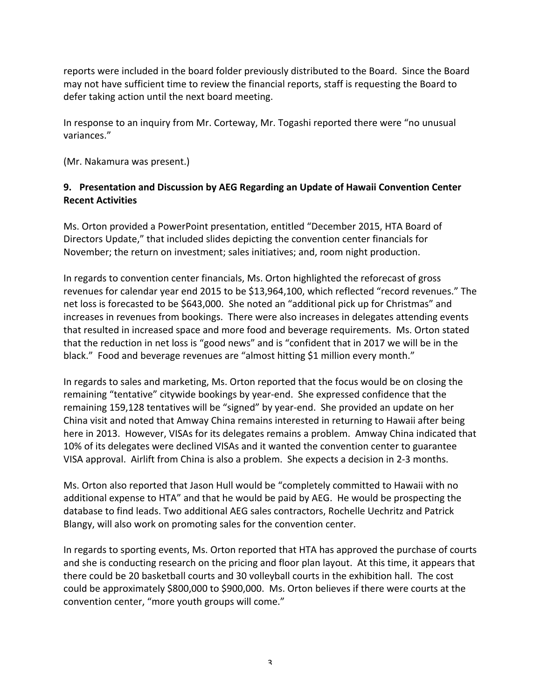reports were included in the board folder previously distributed to the Board. Since the Board may not have sufficient time to review the financial reports, staff is requesting the Board to defer taking action until the next board meeting.

In response to an inquiry from Mr. Corteway, Mr. Togashi reported there were "no unusual variances."

(Mr. Nakamura was present.)

### 9. Presentation and Discussion by AEG Regarding an Update of Hawaii Convention Center **Recent Activities**

Ms. Orton provided a PowerPoint presentation, entitled "December 2015, HTA Board of Directors Update," that included slides depicting the convention center financials for November; the return on investment; sales initiatives; and, room night production.

In regards to convention center financials, Ms. Orton highlighted the reforecast of gross revenues for calendar year end 2015 to be \$13,964,100, which reflected "record revenues." The net loss is forecasted to be \$643,000. She noted an "additional pick up for Christmas" and increases in revenues from bookings. There were also increases in delegates attending events that resulted in increased space and more food and beverage requirements. Ms. Orton stated that the reduction in net loss is "good news" and is "confident that in 2017 we will be in the black." Food and beverage revenues are "almost hitting \$1 million every month."

In regards to sales and marketing, Ms. Orton reported that the focus would be on closing the remaining "tentative" citywide bookings by year-end. She expressed confidence that the remaining 159,128 tentatives will be "signed" by year-end. She provided an update on her China visit and noted that Amway China remains interested in returning to Hawaii after being here in 2013. However, VISAs for its delegates remains a problem. Amway China indicated that 10% of its delegates were declined VISAs and it wanted the convention center to guarantee VISA approval. Airlift from China is also a problem. She expects a decision in 2-3 months.

Ms. Orton also reported that Jason Hull would be "completely committed to Hawaii with no additional expense to HTA" and that he would be paid by AEG. He would be prospecting the database to find leads. Two additional AEG sales contractors, Rochelle Uechritz and Patrick Blangy, will also work on promoting sales for the convention center.

In regards to sporting events, Ms. Orton reported that HTA has approved the purchase of courts and she is conducting research on the pricing and floor plan layout. At this time, it appears that there could be 20 basketball courts and 30 volleyball courts in the exhibition hall. The cost could be approximately \$800,000 to \$900,000. Ms. Orton believes if there were courts at the convention center, "more youth groups will come."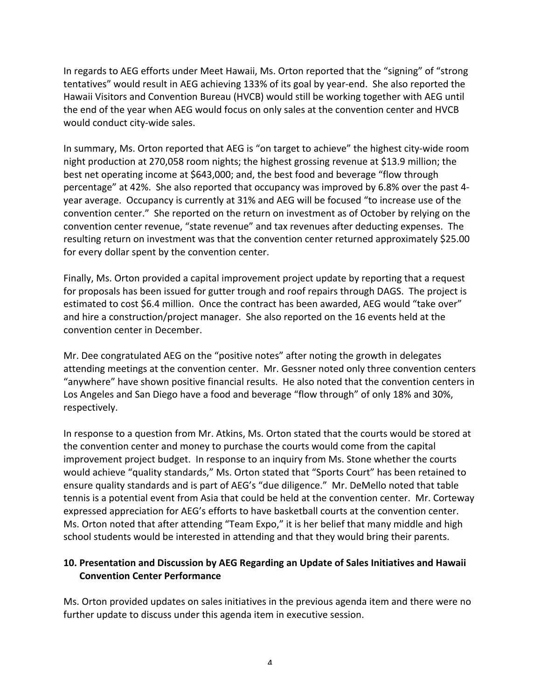In regards to AEG efforts under Meet Hawaii, Ms. Orton reported that the "signing" of "strong tentatives" would result in AEG achieving 133% of its goal by year-end. She also reported the Hawaii Visitors and Convention Bureau (HVCB) would still be working together with AEG until the end of the year when AEG would focus on only sales at the convention center and HVCB would conduct city-wide sales.

In summary, Ms. Orton reported that AEG is "on target to achieve" the highest city-wide room night production at 270,058 room nights; the highest grossing revenue at \$13.9 million; the best net operating income at \$643,000; and, the best food and beverage "flow through percentage" at 42%. She also reported that occupancy was improved by 6.8% over the past 4year average. Occupancy is currently at 31% and AEG will be focused "to increase use of the convention center." She reported on the return on investment as of October by relying on the convention center revenue, "state revenue" and tax revenues after deducting expenses. The resulting return on investment was that the convention center returned approximately \$25.00 for every dollar spent by the convention center.

Finally, Ms. Orton provided a capital improvement project update by reporting that a request for proposals has been issued for gutter trough and roof repairs through DAGS. The project is estimated to cost \$6.4 million. Once the contract has been awarded, AEG would "take over" and hire a construction/project manager. She also reported on the 16 events held at the convention center in December.

Mr. Dee congratulated AEG on the "positive notes" after noting the growth in delegates attending meetings at the convention center. Mr. Gessner noted only three convention centers "anywhere" have shown positive financial results. He also noted that the convention centers in Los Angeles and San Diego have a food and beverage "flow through" of only 18% and 30%, respectively.

In response to a question from Mr. Atkins, Ms. Orton stated that the courts would be stored at the convention center and money to purchase the courts would come from the capital improvement project budget. In response to an inquiry from Ms. Stone whether the courts would achieve "quality standards," Ms. Orton stated that "Sports Court" has been retained to ensure quality standards and is part of AEG's "due diligence." Mr. DeMello noted that table tennis is a potential event from Asia that could be held at the convention center. Mr. Corteway expressed appreciation for AEG's efforts to have basketball courts at the convention center. Ms. Orton noted that after attending "Team Expo," it is her belief that many middle and high school students would be interested in attending and that they would bring their parents.

# **10. Presentation and Discussion by AEG Regarding an Update of Sales Initiatives and Hawaii Convention Center Performance**

Ms. Orton provided updates on sales initiatives in the previous agenda item and there were no further update to discuss under this agenda item in executive session.